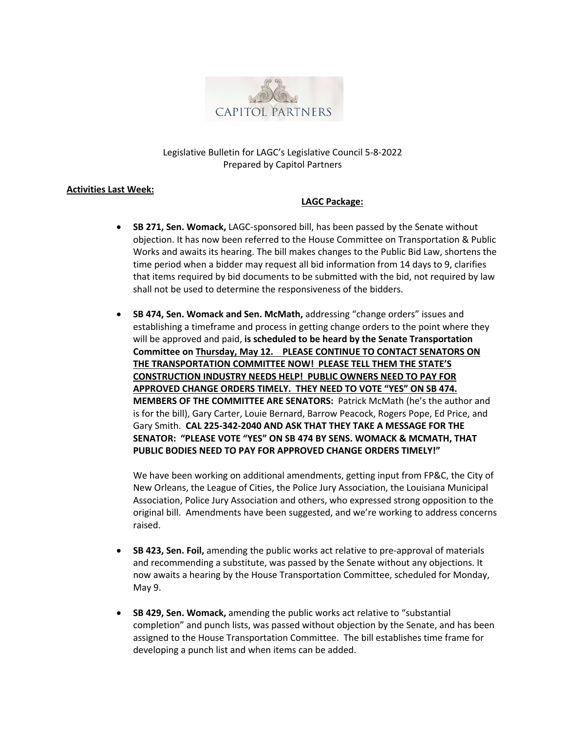

# Legislative Bulletin for LAGC's Legislative Council 5-8-2022 Prepared by Capitol Partners

### **Activities Last Week:**

# **LAGC Package:**

- **SB 271, Sen. Womack,** LAGC-sponsored bill, has been passed by the Senate without objection. It has now been referred to the House Committee on Transportation & Public Works and awaits its hearing. The bill makes changes to the Public Bid Law, shortens the time period when a bidder may request all bid information from 14 days to 9, clarifies that items required by bid documents to be submitted with the bid, not required by law shall not be used to determine the responsiveness of the bidders.
- **SB 474, Sen. Womack and Sen. McMath,** addressing "change orders" issues and establishing a timeframe and process in getting change orders to the point where they will be approved and paid, **is scheduled to be heard by the Senate Transportation Committee on Thursday, May 12. PLEASE CONTINUE TO CONTACT SENATORS ON THE TRANSPORTATION COMMITTEE NOW! PLEASE TELL THEM THE STATE'S CONSTRUCTION INDUSTRY NEEDS HELP! PUBLIC OWNERS NEED TO PAY FOR APPROVED CHANGE ORDERS TIMELY. THEY NEED TO VOTE "YES" ON SB 474. MEMBERS OF THE COMMITTEE ARE SENATORS:** Patrick McMath (he's the author and is for the bill), Gary Carter, Louie Bernard, Barrow Peacock, Rogers Pope, Ed Price, and Gary Smith. **CAL 225-342-2040 AND ASK THAT THEY TAKE A MESSAGE FOR THE SENATOR: "PLEASE VOTE "YES" ON SB 474 BY SENS. WOMACK & MCMATH, THAT PUBLIC BODIES NEED TO PAY FOR APPROVED CHANGE ORDERS TIMELY!"**

We have been working on additional amendments, getting input from FP&C, the City of New Orleans, the League of Cities, the Police Jury Association, the Louisiana Municipal Association, Police Jury Association and others, who expressed strong opposition to the original bill. Amendments have been suggested, and we're working to address concerns raised.

- **SB 423, Sen. Foil,** amending the public works act relative to pre-approval of materials and recommending a substitute, was passed by the Senate without any objections. It now awaits a hearing by the House Transportation Committee, scheduled for Monday, May 9.
- **SB 429, Sen. Womack,** amending the public works act relative to "substantial completion" and punch lists, was passed without objection by the Senate, and has been assigned to the House Transportation Committee. The bill establishes time frame for developing a punch list and when items can be added.